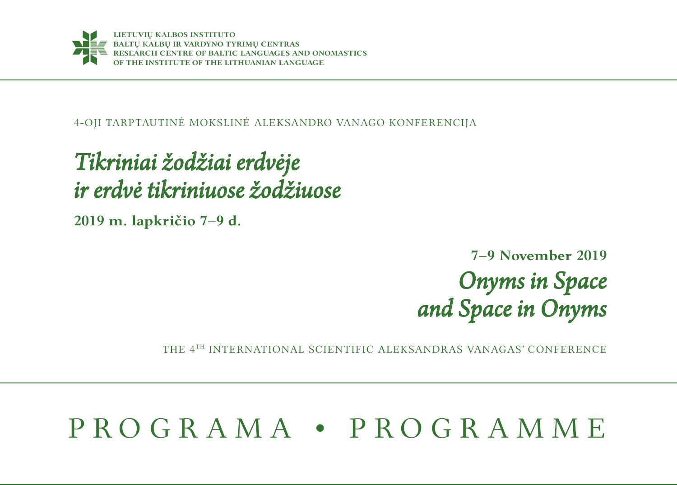

4-OJI TARPTAUTINĖ MOKSLINĖ ALEKSANDRO VANAGO KONFERENCIJA

## *Tikriniai žodžiai erdvėje ir erdvė tikriniuose žodžiuose*

**2019 m. lapkričio 7–9 d.**

## **7–9 November 2019**  *Onyms in Space and Space in Onyms*

THE 4TH INTERNATIONAL SCIENTIFIC ALEKSANDRAS VANAGAS' CONFERENCE

# P R O G R A M A • P R O G R A M M E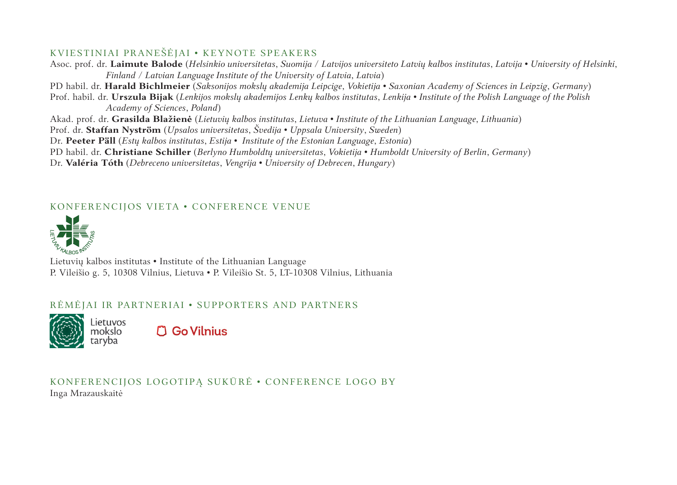#### KVIESTINIAI PRANEŠĖJAI • KEYNOTE SPEAKERS

Asoc. prof. dr. **Laimute Balode** (*Helsinkio universitetas*, *Suomija* / *Latvijos universiteto Latvių kalbos institutas*, *Latvija* • *University of Helsinki*, *Finland / Latvian Language Institute of the University of Latvia*, *Latvia*)

PD habil. dr. **Harald Bichlmeier** (*Saksonijos mokslų akademija Leipcige*, *Vokietija* • *Saxonian Academy of Sciences in Leipzig*, *Germany*) Prof. habil. dr. **Urszula Bijak** (*Lenkijos mokslų akademijos Lenkų kalbos institutas*, *Lenkija* • *Institute of the Polish Language of the Polish Academy of Sciences*, *Poland*)

Akad. prof. dr. **Grasilda Blažienė** (*Lietuvių kalbos institutas*, *Lietuva* • *Institute of the Lithuanian Language*, *Lithuania*)

Prof. dr. **Staffan Nyström** (*Upsalos universitetas*, *Švedija* • *Uppsala University*, *Sweden*)

Dr. **Peeter Päll** (*Estų kalbos institutas*, *Estija* • *Institute of the Estonian Language*, *Estonia*)

PD habil. dr. **Christiane Schiller** (*Berlyno Humboldtų universitetas*, *Vokietija* • *Humboldt University of Berlin*, *Germany*)

Dr. **Valéria Tóth** (*Debreceno universitetas*, *Vengrija* • *University of Debrecen*, *Hungary*)

#### KONFERENCIJOS VIETA • CONFERENCE VENUE



Lietuvių kalbos institutas • Institute of the Lithuanian Language P. Vileišio g. 5, 10308 Vilnius, Lietuva • P. Vileišio St. 5, LT-10308 Vilnius, Lithuania

#### RĖMĖJAI IR PARTNERIAI • SUPPORTERS AND PARTNERS



**C Go Vilnius** 

KONFERENCIJOS LOGOTIPĄ SUKŪRĖ • CONFERENCE LOGO BY Inga Mrazauskaitė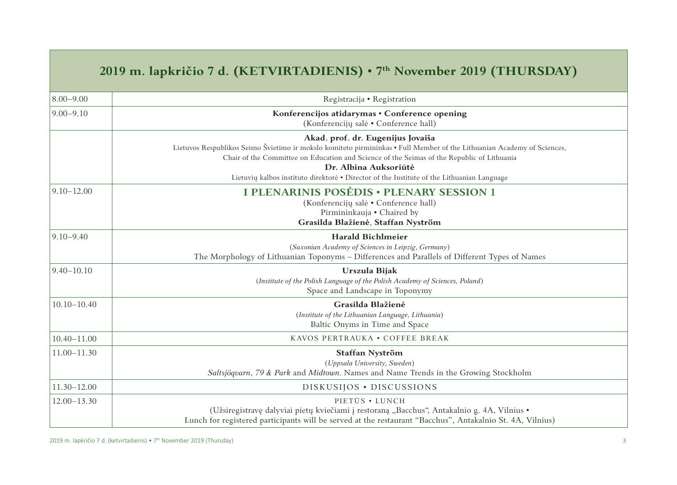### **2019 m. lapkričio 7 d. (KETVIRTADIENIS) • 7th November 2019 (THURSDAY)**

| $8.00 - 9.00$   | Registracija • Registration                                                                                                                                                                                                                                                                                                                                                       |
|-----------------|-----------------------------------------------------------------------------------------------------------------------------------------------------------------------------------------------------------------------------------------------------------------------------------------------------------------------------------------------------------------------------------|
| $9.00 - 9.10$   | Konferencijos atidarymas • Conference opening<br>(Konferenciju salė • Conference hall)                                                                                                                                                                                                                                                                                            |
|                 | Akad. prof. dr. Eugenijus Jovaiša<br>Lietuvos Respublikos Seimo Švietimo ir mokslo komiteto pirmininkas • Full Member of the Lithuanian Academy of Sciences,<br>Chair of the Committee on Education and Science of the Seimas of the Republic of Lithuania<br>Dr. Albina Auksoriūtė<br>Lietuvių kalbos instituto direktorė • Director of the Institute of the Lithuanian Language |
| $9.10 - 12.00$  | I PLENARINIS POSĖDIS · PLENARY SESSION 1<br>(Konferenciju salė • Conference hall)<br>Pirmininkauja • Chaired by<br>Grasilda Blažienė, Staffan Nyström                                                                                                                                                                                                                             |
| $9.10 - 9.40$   | <b>Harald Bichlmeier</b><br>(Saxonian Academy of Sciences in Leipzig, Germany)<br>The Morphology of Lithuanian Toponyms – Differences and Parallels of Different Types of Names                                                                                                                                                                                                   |
| $9.40 - 10.10$  | Urszula Bijak<br>(Institute of the Polish Language of the Polish Academy of Sciences, Poland)<br>Space and Landscape in Toponymy                                                                                                                                                                                                                                                  |
| $10.10 - 10.40$ | Grasilda Blažienė<br>(Institute of the Lithuanian Language, Lithuania)<br>Baltic Onyms in Time and Space                                                                                                                                                                                                                                                                          |
| $10.40 - 11.00$ | KAVOS PERTRAUKA • COFFEE BREAK                                                                                                                                                                                                                                                                                                                                                    |
| $11.00 - 11.30$ | Staffan Nyström<br>(Uppsala University, Sweden)<br>Saltsjögvarn, 79 & Park and Midtown. Names and Name Trends in the Growing Stockholm                                                                                                                                                                                                                                            |
| $11.30 - 12.00$ | DISKUSIJOS · DISCUSSIONS                                                                                                                                                                                                                                                                                                                                                          |
| $12.00 - 13.30$ | PIETUS • LUNCH<br>(Užsiregistravę dalyviai pietų kviečiami į restoraną "Bacchus", Antakalnio g. 4A, Vilnius •<br>Lunch for registered participants will be served at the restaurant "Bacchus", Antakalnio St. 4A, Vilnius)                                                                                                                                                        |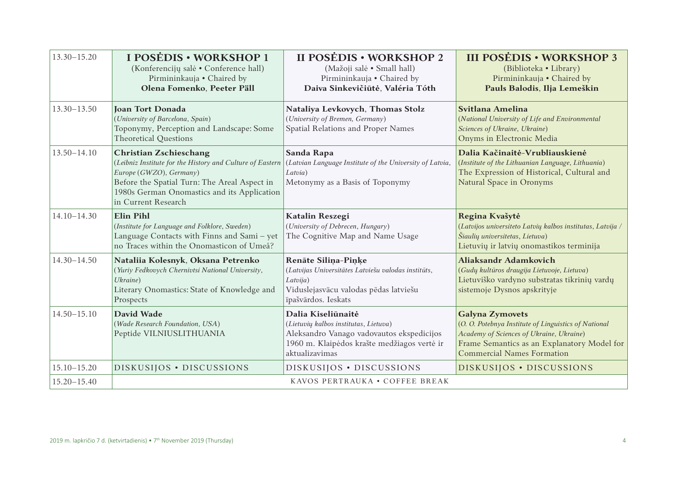| $13.30 - 15.20$ | I POSĖDIS · WORKSHOP 1<br>(Konferenciju salė • Conference hall)<br>Pirmininkauja • Chaired by<br>Olena Fomenko, Peeter Päll                                                                                                                 | II POSĖDIS · WORKSHOP 2<br>(Mažoji salė · Small hall)<br>Pirmininkauja • Chaired by<br>Daiva Sinkevičiūtė, Valéria Tóth                                                   | <b>III POSĖDIS · WORKSHOP 3</b><br>(Biblioteka • Library)<br>Pirmininkauja • Chaired by<br>Pauls Balodis, Ilja Lemeškin                                                                                        |
|-----------------|---------------------------------------------------------------------------------------------------------------------------------------------------------------------------------------------------------------------------------------------|---------------------------------------------------------------------------------------------------------------------------------------------------------------------------|----------------------------------------------------------------------------------------------------------------------------------------------------------------------------------------------------------------|
| $13.30 - 13.50$ | Joan Tort Donada<br>(University of Barcelona, Spain)<br>Toponymy, Perception and Landscape: Some<br><b>Theoretical Ouestions</b>                                                                                                            | Nataliya Levkovych, Thomas Stolz<br>(University of Bremen, Germany)<br>Spatial Relations and Proper Names                                                                 | Svitlana Amelina<br>(National University of Life and Environmental<br>Sciences of Ukraine, Ukraine)<br>Onyms in Electronic Media                                                                               |
| $13.50 - 14.10$ | <b>Christian Zschieschang</b><br>(Leibniz Institute for the History and Culture of Eastern<br>Europe (GWZO), Germany)<br>Before the Spatial Turn: The Areal Aspect in<br>1980s German Onomastics and its Application<br>in Current Research | Sanda Rapa<br>(Latvian Language Institute of the University of Latvia,<br>Latvia)<br>Metonymy as a Basis of Toponymy                                                      | Dalia Kačinaitė-Vrubliauskienė<br>(Institute of the Lithuanian Language, Lithuania)<br>The Expression of Historical, Cultural and<br>Natural Space in Oronyms                                                  |
| $14.10 - 14.30$ | Elin Pihl<br>(Institute for Language and Folklore, Sweden)<br>Language Contacts with Finns and Sami - yet<br>no Traces within the Onomasticon of Umeå?                                                                                      | Katalin Reszegi<br>(University of Debrecen, Hungary)<br>The Cognitive Map and Name Usage                                                                                  | Regina Kvašytė<br>(Latvijos universiteto Latvių kalbos institutas, Latvija /<br>Šiaulių universitetas, Lietuva)<br>Lietuvių ir latvių onomastikos terminija                                                    |
| $14.30 - 14.50$ | Nataliia Kolesnyk, Oksana Petrenko<br>(Yuriy Fedkovych Chernivtsi National University,<br>Ukraine)<br>Literary Onomastics: State of Knowledge and<br>Prospects                                                                              | Renāte Silina-Pinke<br>(Latvijas Universitātes Latviešu valodas institūts,<br>Latvija)<br>Viduslejasvācu valodas pēdas latviešu<br>īpašvārdos. Ieskats                    | Aliaksandr Adamkovich<br>(Gudų kultūros draugija Lietuvoje, Lietuva)<br>Lietuviško vardyno substratas tikrinių vardų<br>sistemoje Dysnos apskrityje                                                            |
| $14.50 - 15.10$ | David Wade<br>(Wade Research Foundation, USA)<br>Peptide VILNIUSLITHUANIA                                                                                                                                                                   | Dalia Kiseliūnaitė<br>(Lietuvių kalbos institutas, Lietuva)<br>Aleksandro Vanago vadovautos ekspedicijos<br>1960 m. Klaipėdos krašte medžiagos vertė ir<br>aktualizavimas | <b>Galyna Zymovets</b><br>(O. O. Potebnya Institute of Linguistics of National<br>Academy of Sciences of Ukraine, Ukraine)<br>Frame Semantics as an Explanatory Model for<br><b>Commercial Names Formation</b> |
| $15.10 - 15.20$ | DISKUSIJOS · DISCUSSIONS                                                                                                                                                                                                                    | DISKUSIJOS · DISCUSSIONS                                                                                                                                                  | DISKUSIJOS · DISCUSSIONS                                                                                                                                                                                       |
| $15.20 - 15.40$ | KAVOS PERTRAUKA • COFFEE BREAK                                                                                                                                                                                                              |                                                                                                                                                                           |                                                                                                                                                                                                                |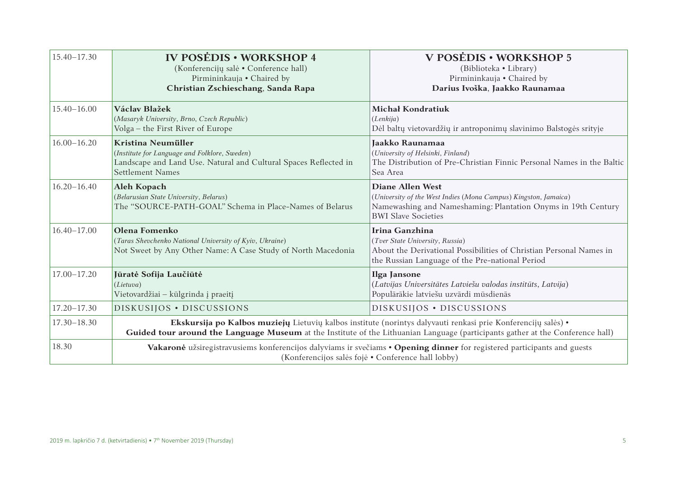| $15.40 - 17.30$ | <b>IV POSEDIS • WORKSHOP 4</b><br>(Konferenciju salė • Conference hall)<br>Pirmininkauja • Chaired by<br>Christian Zschieschang, Sanda Rapa                                                                                                      | V POSĖDIS • WORKSHOP 5<br>(Biblioteka · Library)<br>Pirmininkauja • Chaired by<br>Darius Ivoška, Jaakko Raunamaa                                                                   |  |
|-----------------|--------------------------------------------------------------------------------------------------------------------------------------------------------------------------------------------------------------------------------------------------|------------------------------------------------------------------------------------------------------------------------------------------------------------------------------------|--|
| $15.40 - 16.00$ | Václav Blažek<br>(Masaryk University, Brno, Czech Republic)<br>Volga - the First River of Europe                                                                                                                                                 | Michał Kondratiuk<br>(Lenkija)<br>Dėl baltų vietovardžių ir antroponimų slavinimo Balstogės srityje                                                                                |  |
| $16.00 - 16.20$ | Kristina Neumüller<br>(Institute for Language and Folklore, Sweden)<br>Landscape and Land Use. Natural and Cultural Spaces Reflected in<br>Settlement Names                                                                                      | Jaakko Raunamaa<br>(University of Helsinki, Finland)<br>The Distribution of Pre-Christian Finnic Personal Names in the Baltic<br>Sea Area                                          |  |
| $16.20 - 16.40$ | Aleh Kopach<br>(Belarusian State University, Belarus)<br>The "SOURCE-PATH-GOAL" Schema in Place-Names of Belarus                                                                                                                                 | Diane Allen West<br>(University of the West Indies (Mona Campus) Kingston, Jamaica)<br>Namewashing and Nameshaming: Plantation Onyms in 19th Century<br><b>BWI Slave Societies</b> |  |
| $16.40 - 17.00$ | Olena Fomenko<br>(Taras Shevchenko National University of Kyiv, Ukraine)<br>Not Sweet by Any Other Name: A Case Study of North Macedonia                                                                                                         | Irina Ganzhina<br>(Tver State University, Russia)<br>About the Derivational Possibilities of Christian Personal Names in<br>the Russian Language of the Pre-national Period        |  |
| 17.00-17.20     | Jūratė Sofija Laučiūtė<br>(Lietuva)<br>Vietovardžiai – kūlgrinda į praeitį                                                                                                                                                                       | Ilga Jansone<br>(Latvijas Universitātes Latviešu valodas institūts, Latvija)<br>Populārākie latviešu uzvārdi mūsdienās                                                             |  |
| $17.20 - 17.30$ | DISKUSIJOS · DISCUSSIONS                                                                                                                                                                                                                         | DISKUSIJOS · DISCUSSIONS                                                                                                                                                           |  |
| $17.30 - 18.30$ | Ekskursija po Kalbos muziejų Lietuvių kalbos institute (norintys dalyvauti renkasi prie Konferencijų salės) ·<br>Guided tour around the Language Museum at the Institute of the Lithuanian Language (participants gather at the Conference hall) |                                                                                                                                                                                    |  |
| 18.30           | Vakaronė užsiregistravusiems konferencijos dalyviams ir svečiams • Opening dinner for registered participants and guests<br>(Konferencijos salės fojė • Conference hall lobby)                                                                   |                                                                                                                                                                                    |  |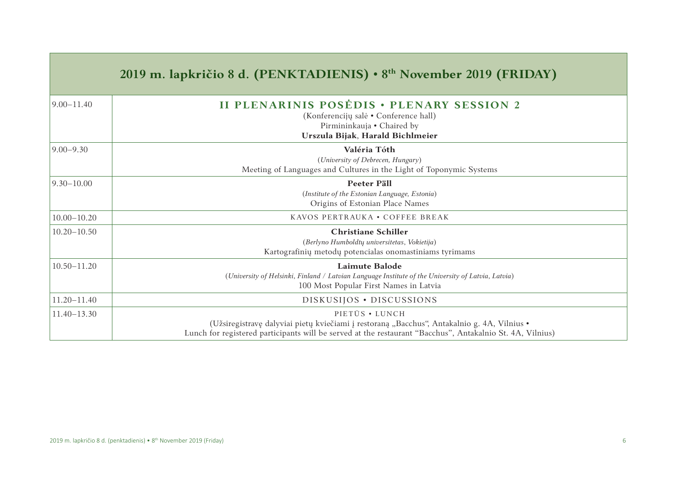|                 | 2019 m. lapkričio 8 d. (PENKTADIENIS) • 8 <sup>th</sup> November 2019 (FRIDAY)                                                                                                                                             |
|-----------------|----------------------------------------------------------------------------------------------------------------------------------------------------------------------------------------------------------------------------|
| $9.00 - 11.40$  | <b>II PLENARINIS POSĖDIS · PLENARY SESSION 2</b><br>(Konferenciju salė • Conference hall)<br>Pirmininkauja • Chaired by<br>Urszula Bijak, Harald Bichlmeier                                                                |
| $9.00 - 9.30$   | Valéria Tóth<br>(University of Debrecen, Hungary)<br>Meeting of Languages and Cultures in the Light of Toponymic Systems                                                                                                   |
| $9.30 - 10.00$  | Peeter Päll<br>(Institute of the Estonian Language, Estonia)<br>Origins of Estonian Place Names                                                                                                                            |
| $10.00 - 10.20$ | KAVOS PERTRAUKA • COFFEE BREAK                                                                                                                                                                                             |
| $10.20 - 10.50$ | <b>Christiane Schiller</b><br>(Berlyno Humboldtų universitetas, Vokietija)<br>Kartografinių metodų potencialas onomastiniams tyrimams                                                                                      |
| $10.50 - 11.20$ | Laimute Balode<br>(University of Helsinki, Finland / Latvian Language Institute of the University of Latvia, Latvia)<br>100 Most Popular First Names in Latvia                                                             |
| $11.20 - 11.40$ | DISKUSIJOS · DISCUSSIONS                                                                                                                                                                                                   |
| $11.40 - 13.30$ | PIETUS • LUNCH<br>(Užsiregistravę dalyviai pietų kviečiami į restoraną "Bacchus", Antakalnio g. 4A, Vilnius •<br>Lunch for registered participants will be served at the restaurant "Bacchus", Antakalnio St. 4A, Vilnius) |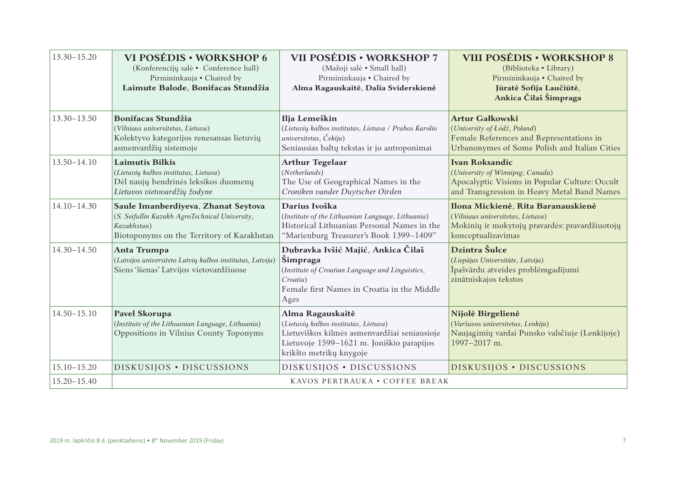| $13.30 - 15.20$ | VI POSĖDIS • WORKSHOP 6<br>(Konferencijų salė • Conference hall)<br>Pirmininkauja • Chaired by<br>Laimute Balode, Bonifacas Stundžia               | VII POSĖDIS • WORKSHOP 7<br>(Mažoji salė • Small hall)<br>Pirmininkauja • Chaired by<br>Alma Ragauskaitė, Dalia Sviderskienė                                                      | <b>VIII POSĖDIS • WORKSHOP 8</b><br>(Biblioteka • Library)<br>Pirmininkauja • Chaired by<br>Jūratė Sofija Laučiūtė,<br>Ankica Čilaš Šimpraga               |
|-----------------|----------------------------------------------------------------------------------------------------------------------------------------------------|-----------------------------------------------------------------------------------------------------------------------------------------------------------------------------------|------------------------------------------------------------------------------------------------------------------------------------------------------------|
| $13.30 - 13.50$ | <b>Bonifacas Stundžia</b><br>(Vilniaus universitetas, Lietuva)<br>Kolektyvo kategorijos renesansas lietuvių<br>asmenvardžių sistemoje              | Ilja Lemeškin<br>(Lietuvių kalbos institutas, Lietuva / Prahos Karolio<br>universitetas, Čekija)<br>Seniausias baltų tekstas ir jo antroponimai                                   | <b>Artur Gałkowski</b><br>(University of Łódź, Poland)<br>Female References and Representations in<br>Urbanonymes of Some Polish and Italian Cities        |
| $13.50 - 14.10$ | <b>Laimutis Bilkis</b><br>(Lietuvių kalbos institutas, Lietuva)<br>Dėl naujų bendrinės leksikos duomenų<br>Lietuvos vietovardžių žodyne            | <b>Arthur Tegelaar</b><br>(Netherlands)<br>The Use of Geographical Names in the<br>Croniken vander Duytscher Oirden                                                               | <b>Ivan Roksandic</b><br>(University of Winnipeg, Canada)<br>Apocalyptic Visions in Popular Culture: Occult<br>and Transgression in Heavy Metal Band Names |
| $14.10 - 14.30$ | Saule Imanberdiyeva, Zhanat Seytova<br>(S. Seifullin Kazakh AgroTechnical University,<br>Kazakhstan)<br>Biotoponyms on the Territory of Kazakhstan | Darius Ivoška<br>(Institute of the Lithuanian Language, Lithuania)<br>Historical Lithuanian Personal Names in the<br>"Marienburg Treasurer's Book 1399-1409"                      | Ilona Mickienė, Rita Baranauskienė<br>(Vilniaus universitetas, Lietuva)<br>Mokinių ir mokytojų pravardės: pravardžiuotojų<br>konceptualizavimas            |
| $14.30 - 14.50$ | Anta Trumpa<br>(Latvijos universiteto Latvių kalbos institutas, Latvija)<br>Siens 'šienas' Latvijos vietovardžiuose                                | Dubravka Ivšić Majić, Ankica Čilaš<br>Šimpraga<br>(Institute of Croatian Language and Linguistics,<br>Croatia)<br>Female first Names in Croatia in the Middle<br>Ages             | Dzintra Šulce<br>(Liepājas Universitāte, Latvija)<br>Ipašvārdu atveides problēmgadījumi<br>zinātniskajos tekstos                                           |
| $14.50 - 15.10$ | Pavel Skorupa<br>(Institute of the Lithuanian Language, Lithuania)<br>Oppositions in Vilnius County Toponyms                                       | Alma Ragauskaitė<br>(Lietuvių kalbos institutas, Lietuva)<br>Lietuviškos kilmės asmenvardžiai seniausioje<br>Lietuvoje 1599-1621 m. Joniškio parapijos<br>krikšto metrikų knygoje | Nijolė Birgelienė<br>(Varšuvos universitetas, Lenkija)<br>Naujagimių vardai Punsko valsčiuje (Lenkijoje)<br>1997-2017 m.                                   |
| $15.10 - 15.20$ | DISKUSIJOS · DISCUSSIONS                                                                                                                           | DISKUSIJOS · DISCUSSIONS                                                                                                                                                          | DISKUSIJOS · DISCUSSIONS                                                                                                                                   |
| $15.20 - 15.40$ | KAVOS PERTRAUKA • COFFEE BREAK                                                                                                                     |                                                                                                                                                                                   |                                                                                                                                                            |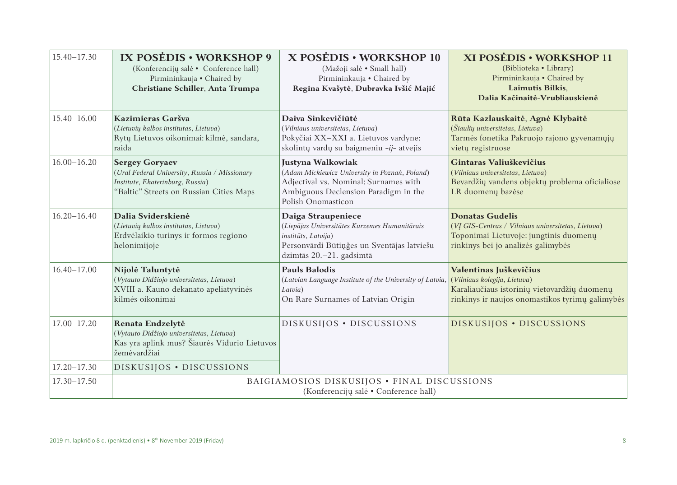| $15.40 - 17.30$ | IX POSEDIS • WORKSHOP 9<br>(Konferenciju salė • Conference hall)<br>Pirmininkauja • Chaired by<br>Christiane Schiller, Anta Trumpa                    | X POSÉDIS • WORKSHOP 10<br>(Mažoji salė • Small hall)<br>Pirmininkauja · Chaired by<br>Regina Kvašytė, Dubravka Ivšić Majić                                                | XI POSĖDIS • WORKSHOP 11<br>(Biblioteka • Library)<br>Pirmininkauja • Chaired by<br>Laimutis Bilkis,<br>Dalia Kačinaitė-Vrubliauskienė                       |
|-----------------|-------------------------------------------------------------------------------------------------------------------------------------------------------|----------------------------------------------------------------------------------------------------------------------------------------------------------------------------|--------------------------------------------------------------------------------------------------------------------------------------------------------------|
| $15.40 - 16.00$ | Kazimieras Garšva<br>(Lietuvių kalbos institutas, Lietuva)<br>Rytų Lietuvos oikonimai: kilmė, sandara,<br>raida                                       | Daiva Sinkevičiūtė<br>(Vilniaus universitetas, Lietuva)<br>Pokyčiai XX-XXI a. Lietuvos vardyne:<br>skolintų vardų su baigmeniu -ij- atvejis                                | Rūta Kazlauskaitė, Agnė Klybaitė<br>(Šiaulių universitetas, Lietuva)<br>Tarmės fonetika Pakruojo rajono gyvenamųjų<br>vietų registruose                      |
| $16.00 - 16.20$ | <b>Sergey Goryaev</b><br>(Ural Federal University, Russia / Missionary<br>Institute, Ekaterinburg, Russia)<br>"Baltic" Streets on Russian Cities Maps | Justyna Walkowiak<br>(Adam Mickiewicz University in Poznań, Poland)<br>Adjectival vs. Nominal: Surnames with<br>Ambiguous Declension Paradigm in the<br>Polish Onomasticon | Gintaras Valiuškevičius<br>(Vilniaus universitetas, Lietuva)<br>Bevardžių vandens objektų problema oficialiose<br>LR duomenų bazėse                          |
| $16.20 - 16.40$ | Dalia Sviderskienė<br>(Lietuvių kalbos institutas, Lietuva)<br>Erdvėlaikio turinys ir formos regiono<br>helonimijoje                                  | Daiga Straupeniece<br>(Liepājas Universitātes Kurzemes Humanitārais<br>institūts, Latvija)<br>Personvārdi Būtiņģes un Sventājas latviešu<br>dzimtās 20.-21. gadsimtā       | <b>Donatas Gudelis</b><br>(VĮ GIS-Centras / Vilniaus universitetas, Lietuva)<br>Toponimai Lietuvoje: jungtinis duomenų<br>rinkinys bei jo analizės galimybės |
| $16.40 - 17.00$ | Nijolė Taluntytė<br>(Vytauto Didžiojo universitetas, Lietuva)<br>XVIII a. Kauno dekanato apeliatyvinės<br>kilmės oikonimai                            | <b>Pauls Balodis</b><br>(Latvian Language Institute of the University of Latvia,<br>Latvia)<br>On Rare Surnames of Latvian Origin                                          | Valentinas Juškevičius<br>(Vilniaus kolegija, Lietuva)<br>Karaliaučiaus istorinių vietovardžių duomenų<br>rinkinys ir naujos onomastikos tyrimų galimybės    |
| $17.00 - 17.20$ | Renata Endzelytė<br>(Vytauto Didžiojo universitetas, Lietuva)<br>Kas yra aplink mus? Šiaurės Vidurio Lietuvos<br>žemėvardžiai                         | DISKUSIJOS · DISCUSSIONS                                                                                                                                                   | DISKUSIJOS · DISCUSSIONS                                                                                                                                     |
| $17.20 - 17.30$ | DISKUSIJOS · DISCUSSIONS                                                                                                                              |                                                                                                                                                                            |                                                                                                                                                              |
| $17.30 - 17.50$ | BAIGIAMOSIOS DISKUSIJOS · FINAL DISCUSSIONS<br>(Konferenciju salė • Conference hall)                                                                  |                                                                                                                                                                            |                                                                                                                                                              |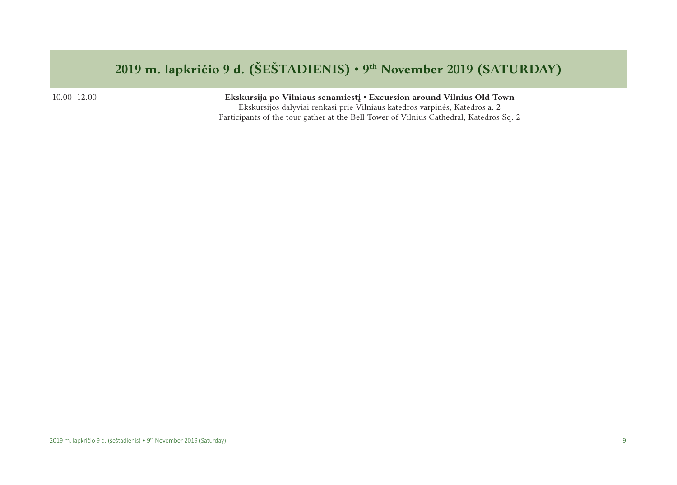### **2019 m. lapkričio 9 d. (ŠEŠTADIENIS) • 9th November 2019 (SATURDAY)**

10.00–12.00 **Ekskursija po Vilniaus senamiestį • Excursion around Vilnius Old Town**

Ekskursijos dalyviai renkasi prie Vilniaus katedros varpinės, Katedros a. 2 Participants of the tour gather at the Bell Tower of Vilnius Cathedral, Katedros Sq. 2